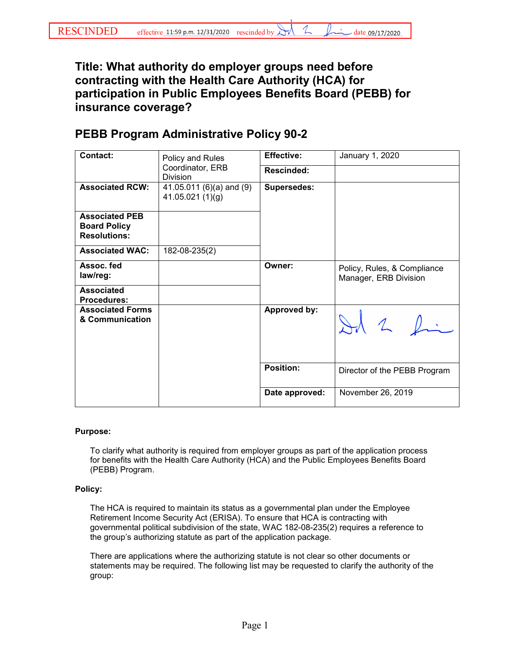## **Title: What authority do employer groups need before contracting with the Health Care Authority (HCA) for participation in Public Employees Benefits Board (PEBB) for insurance coverage?**

## **PEBB Program Administrative Policy 90-2**

| <b>Contact:</b>                                                     | Policy and Rules<br>Coordinator, ERB<br>Division | <b>Effective:</b>  | January 1, 2020                                      |
|---------------------------------------------------------------------|--------------------------------------------------|--------------------|------------------------------------------------------|
|                                                                     |                                                  | Rescinded:         |                                                      |
| <b>Associated RCW:</b>                                              | 41.05.011 (6)(a) and (9)<br>41.05.021(1)(g)      | <b>Supersedes:</b> |                                                      |
| <b>Associated PEB</b><br><b>Board Policy</b><br><b>Resolutions:</b> |                                                  |                    |                                                      |
| <b>Associated WAC:</b>                                              | 182-08-235(2)                                    |                    |                                                      |
| Assoc. fed<br>law/reg:                                              |                                                  | Owner:             | Policy, Rules, & Compliance<br>Manager, ERB Division |
| <b>Associated</b><br><b>Procedures:</b>                             |                                                  |                    |                                                      |
| <b>Associated Forms</b><br>& Communication                          |                                                  | Approved by:       | Ad 2 fin                                             |
|                                                                     |                                                  | <b>Position:</b>   | Director of the PEBB Program                         |
|                                                                     |                                                  | Date approved:     | November 26, 2019                                    |

## **Purpose:**

To clarify what authority is required from employer groups as part of the application process for benefits with the Health Care Authority (HCA) and the Public Employees Benefits Board (PEBB) Program.

## **Policy:**

The HCA is required to maintain its status as a governmental plan under the Employee Retirement Income Security Act (ERISA). To ensure that HCA is contracting with governmental political subdivision of the state, WAC 182-08-235(2) requires a reference to the group's authorizing statute as part of the application package.

There are applications where the authorizing statute is not clear so other documents or statements may be required. The following list may be requested to clarify the authority of the group: